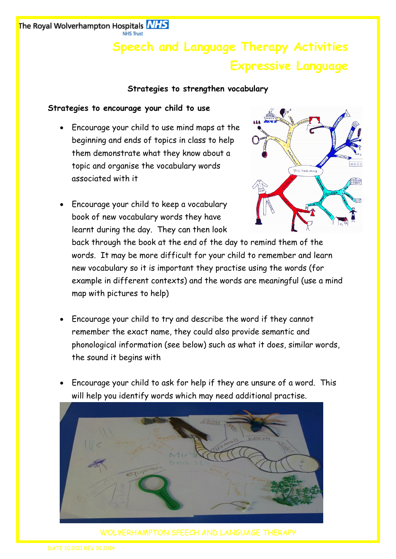# **Speech and Language Therapy Activities Expressive Language**

### **Strategies to strengthen vocabulary**

#### **Strategies to encourage your child to use**

 Encourage your child to use mind maps at the beginning and ends of topics in class to help them demonstrate what they know about a topic and organise the vocabulary words associated with it



 Encourage your child to keep a vocabulary book of new vocabulary words they have learnt during the day. They can then look

back through the book at the end of the day to remind them of the words. It may be more difficult for your child to remember and learn new vocabulary so it is important they practise using the words (for example in different contexts) and the words are meaningful (use a mind map with pictures to help)

- Encourage your child to try and describe the word if they cannot remember the exact name, they could also provide semantic and phonological information (see below) such as what it does, similar words, the sound it begins with
- Encourage your child to ask for help if they are unsure of a word. This will help you identify words which may need additional practise.



WOLVERHAMPTON SPEECH AND LANGUAGE THERAPY